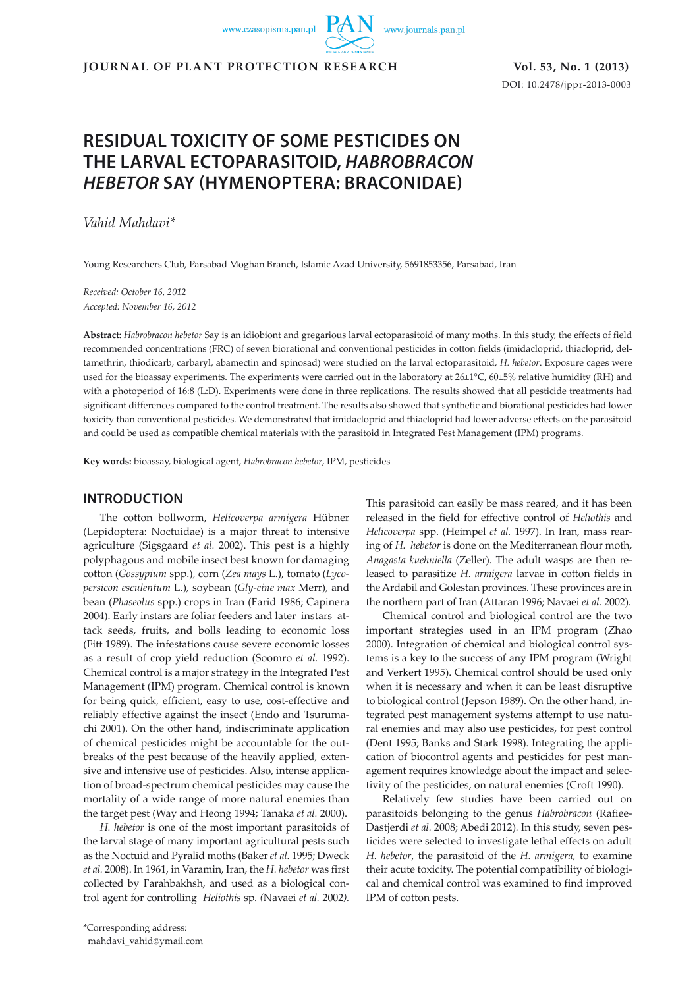www.czasopisma.pan.pl



**JOURNAL OF PLANT PROTECTION RESEARCH Vol. 53, No. 1 (2013)**

DOI: 10.2478/jppr-2013-0003

# **RESIDUAL TOXICITY OF SOME PESTICIDES ON THE LARVAL ECTOPARASITOID,** *HABROBRACON HEBETOR* **SAY (HYMENOPTERA: BRACONIDAE)**

*Vahid Mahdavi\**

Young Researchers Club, Parsabad Moghan Branch, Islamic Azad University, 5691853356, Parsabad, Iran

*Received: October 16, 2012 Accepted: November 16, 2012*

**Abstract:** *Habrobracon hebetor* Say is an idiobiont and gregarious larval ectoparasitoid of many moths. In this study, the effects of field recommended concentrations (FRC) of seven biorational and conventional pesticides in cotton fields (imidacloprid, thiacloprid, deltamethrin, thiodicarb, carbaryl, abamectin and spinosad) were studied on the larval ectoparasitoid, *H. hebetor*. Exposure cages were used for the bioassay experiments. The experiments were carried out in the laboratory at 26±1°C, 60±5% relative humidity (RH) and with a photoperiod of 16:8 (L:D). Experiments were done in three replications. The results showed that all pesticide treatments had significant differences compared to the control treatment. The results also showed that synthetic and biorational pesticides had lower toxicity than conventional pesticides. We demonstrated that imidacloprid and thiacloprid had lower adverse effects on the parasitoid and could be used as compatible chemical materials with the parasitoid in Integrated Pest Management (IPM) programs.

**Key words:** bioassay, biological agent, *Habrobracon hebetor*, IPM, pesticides

# **INTRODUCTION**

The cotton bollworm, *Helicoverpa armigera* Hübner (Lepidoptera: Noctuidae) is a major threat to intensive agriculture (Sigsgaard *et al.* 2002). This pest is a highly polyphagous and mobile insect best known for damaging cotton (*Gossypium* spp.), corn (*Zea mays* L.), tomato (*Lycopersicon esculentum* L.), soybean (*Gly-cine max* Merr), and bean (*Phaseolus* spp.) crops in Iran (Farid 1986; Capinera 2004). Early instars are foliar feeders and later instars attack seeds, fruits, and bolls leading to economic loss (Fitt 1989). The infestations cause severe economic losses as a result of crop yield reduction (Soomro *et al.* 1992). Chemical control is a major strategy in the Integrated Pest Management (IPM) program. Chemical control is known for being quick, efficient, easy to use, cost-effective and reliably effective against the insect (Endo and Tsurumachi 2001). On the other hand, indiscriminate application of chemical pesticides might be accountable for the outbreaks of the pest because of the heavily applied, extensive and intensive use of pesticides. Also, intense application of broad-spectrum chemical pesticides may cause the mortality of a wide range of more natural enemies than the target pest (Way and Heong 1994; Tanaka *et al.* 2000).

*H. hebetor* is one of the most important parasitoids of the larval stage of many important agricultural pests such as the Noctuid and Pyralid moths (Baker *et al.* 1995; Dweck *et al.* 2008). In 1961, in Varamin, Iran, the *H. hebetor* was first collected by Farahbakhsh, and used as a biological control agent for controlling *Heliothis* sp*. (*Navaei *et al.* 2002*).*

\*Corresponding address:

This parasitoid can easily be mass reared, and it has been released in the field for effective control of *Heliothis* and *Helicoverpa* spp. (Heimpel *et al.* 1997). In Iran, mass rearing of *H. hebetor* is done on the Mediterranean flour moth, *Anagasta kuehniella* (Zeller). The adult wasps are then released to parasitize *H. armigera* larvae in cotton fields in the Ardabil and Golestan provinces. These provinces are in the northern part of Iran (Attaran 1996; Navaei *et al.* 2002).

Chemical control and biological control are the two important strategies used in an IPM program (Zhao 2000). Integration of chemical and biological control systems is a key to the success of any IPM program (Wright and Verkert 1995). Chemical control should be used only when it is necessary and when it can be least disruptive to biological control (Jepson 1989). On the other hand, integrated pest management systems attempt to use natural enemies and may also use pesticides, for pest control (Dent 1995; Banks and Stark 1998). Integrating the application of biocontrol agents and pesticides for pest management requires knowledge about the impact and selectivity of the pesticides, on natural enemies (Croft 1990).

Relatively few studies have been carried out on parasitoids belonging to the genus *Habrobracon* (Rafiee-Dastjerdi *et al.* 2008; Abedi 2012)*.* In this study, seven pesticides were selected to investigate lethal effects on adult *H. hebetor*, the parasitoid of the *H. armigera*, to examine their acute toxicity. The potential compatibility of biological and chemical control was examined to find improved IPM of cotton pests.

mahdavi\_vahid@ymail.com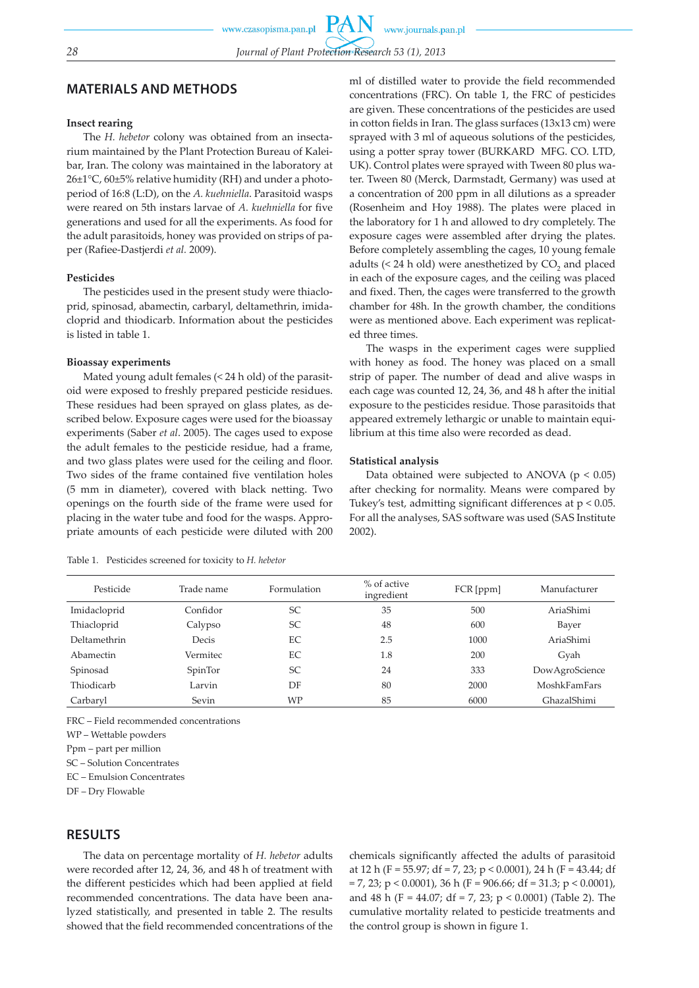# **MATERIALS AND METHODS**

#### **Insect rearing**

The *H. hebetor* colony was obtained from an insectarium maintained by the Plant Protection Bureau of Kaleibar, Iran. The colony was maintained in the laboratory at 26±1°C, 60±5% relative humidity (RH) and under a photoperiod of 16:8 (L:D), on the *A. kuehniella*. Parasitoid wasps were reared on 5th instars larvae of *A. kuehniella* for five generations and used for all the experiments. As food for the adult parasitoids, honey was provided on strips of paper (Rafiee-Dastjerdi *et al.* 2009).

# **Pesticides**

The pesticides used in the present study were thiacloprid, spinosad, abamectin, carbaryl, deltamethrin, imidacloprid and thiodicarb. Information about the pesticides is listed in table 1.

#### **Bioassay experiments**

Mated young adult females (< 24 h old) of the parasitoid were exposed to freshly prepared pesticide residues. These residues had been sprayed on glass plates, as described below. Exposure cages were used for the bioassay experiments (Saber *et al*. 2005). The cages used to expose the adult females to the pesticide residue, had a frame, and two glass plates were used for the ceiling and floor. Two sides of the frame contained five ventilation holes (5 mm in diameter), covered with black netting. Two openings on the fourth side of the frame were used for placing in the water tube and food for the wasps. Appropriate amounts of each pesticide were diluted with 200 ml of distilled water to provide the field recommended concentrations (FRC). On table 1, the FRC of pesticides are given. These concentrations of the pesticides are used in cotton fields in Iran. The glass surfaces (13x13 cm) were sprayed with 3 ml of aqueous solutions of the pesticides, using a potter spray tower (BURKARD MFG. CO. LTD, UK). Control plates were sprayed with Tween 80 plus water. Tween 80 (Merck, Darmstadt, Germany) was used at a concentration of 200 ppm in all dilutions as a spreader (Rosenheim and Hoy 1988). The plates were placed in the laboratory for 1 h and allowed to dry completely. The exposure cages were assembled after drying the plates. Before completely assembling the cages, 10 young female adults  $(< 24$  h old) were anesthetized by  $CO<sub>2</sub>$  and placed in each of the exposure cages, and the ceiling was placed and fixed. Then, the cages were transferred to the growth chamber for 48h. In the growth chamber, the conditions were as mentioned above. Each experiment was replicated three times.

The wasps in the experiment cages were supplied with honey as food. The honey was placed on a small strip of paper. The number of dead and alive wasps in each cage was counted 12, 24, 36, and 48 h after the initial exposure to the pesticides residue. Those parasitoids that appeared extremely lethargic or unable to maintain equilibrium at this time also were recorded as dead.

#### **Statistical analysis**

Data obtained were subjected to ANOVA ( $p < 0.05$ ) after checking for normality. Means were compared by Tukey's test, admitting significant differences at p < 0.05. For all the analyses, SAS software was used (SAS Institute 2002).

| Pesticide           | Trade name | <b>Formulation</b> | % of active<br>ingredient | FCR [ppm] | Manufacturer   |
|---------------------|------------|--------------------|---------------------------|-----------|----------------|
| Imidacloprid        | Confidor   | SC                 | 35                        | 500       | AriaShimi      |
| Thiacloprid         | Calypso    | SС                 | 48                        | 600       | Bayer          |
| <b>Deltamethrin</b> | Decis      | EC                 | 2.5                       | 1000      | AriaShimi      |
| Abamectin           | Vermitec   | ЕC                 | 1.8                       | 200       | Gyah           |
| Spinosad            | SpinTor    | SC                 | 24                        | 333       | DowAgroScience |
| Thiodicarb          | Larvin     | DF                 | 80                        | 2000      | MoshkFamFars   |
| Carbaryl            | Sevin      | WP                 | 85                        | 6000      | GhazalShimi    |

| Table 1. Pesticides screened for toxicity to H. hebetor |  |  |  |  |
|---------------------------------------------------------|--|--|--|--|
|                                                         |  |  |  |  |

FRC – Field recommended concentrations

WP – Wettable powders

Ppm – part per million

SC – Solution Concentrates

EC – Emulsion Concentrates

DF – Dry Flowable

# **RESULTS**

The data on percentage mortality of *H. hebetor* adults were recorded after 12, 24, 36, and 48 h of treatment with the different pesticides which had been applied at field recommended concentrations. The data have been analyzed statistically, and presented in table 2. The results showed that the field recommended concentrations of the

chemicals significantly affected the adults of parasitoid at 12 h (F = 55.97; df = 7, 23; p < 0.0001), 24 h (F = 43.44; df  $= 7, 23; p < 0.0001$ , 36 h (F = 906.66; df = 31.3; p < 0.0001), and 48 h (F = 44.07; df = 7, 23; p < 0.0001) (Table 2). The cumulative mortality related to pesticide treatments and the control group is shown in figure 1.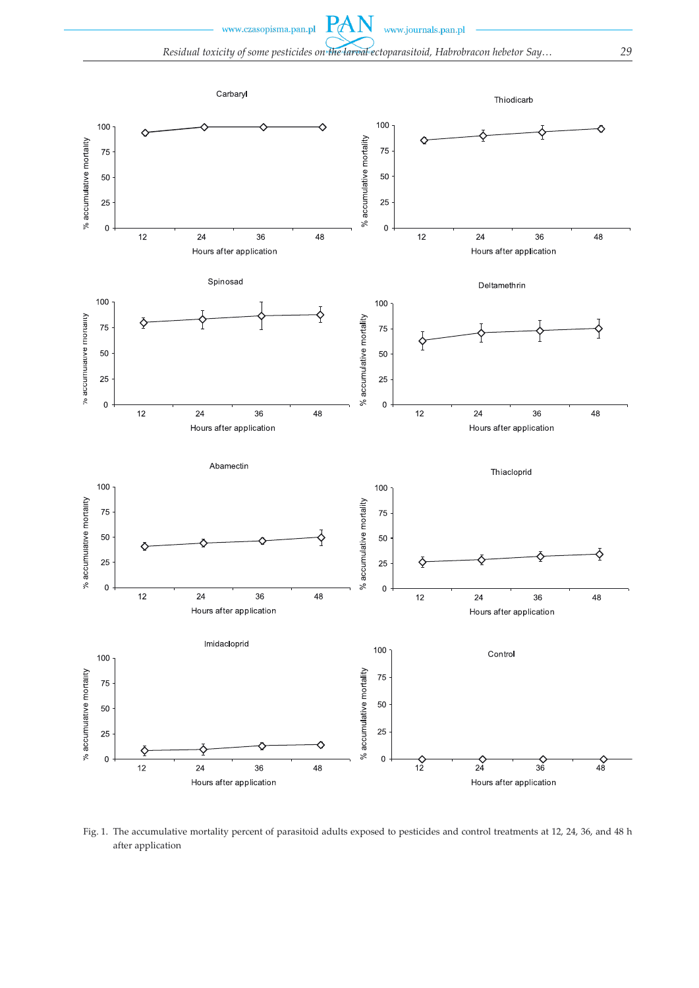



Fig. 1. The accumulative mortality percent of parasitoid adults exposed to pesticides and control treatments at 12, 24, 36, and 48 h after application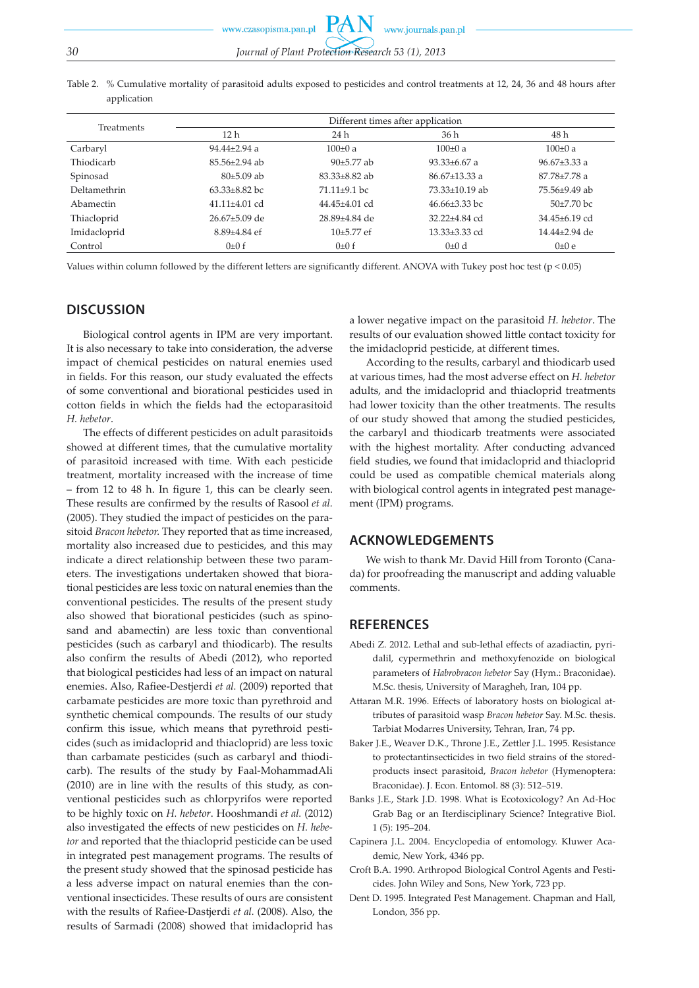Table 2. % Cumulative mortality of parasitoid adults exposed to pesticides and control treatments at 12, 24, 36 and 48 hours after application

| <b>Treatments</b> | Different times after application |                     |                      |                    |  |  |
|-------------------|-----------------------------------|---------------------|----------------------|--------------------|--|--|
|                   | 12 <sub>h</sub>                   | 24 h                | 36 h                 | 48 h               |  |  |
| Carbaryl          | $94.44 \pm 2.94$ a                | $100\pm0$ a         | 100±0a               | $100 \pm 0$ a      |  |  |
| Thiodicarb        | $85.56 \pm 2.94$ ab               | $90±5.77$ ab        | $93.33 \pm 6.67$ a   | $96.67 \pm 3.33$ a |  |  |
| Spinosad          | $80±5.09$ ab                      | $83.33 \pm 8.82$ ab | $86.67 \pm 13.33$ a  | $87.78 + 7.78$ a   |  |  |
| Deltamethrin      | $63.33\pm8.82$ bc                 | $71.11\pm9.1$ bc    | $73.33 \pm 10.19$ ab | $75.56\pm9.49$ ab  |  |  |
| Abamectin         | $41.11 \pm 4.01$ cd               | 44.45±4.01 cd       | $46.66\pm3.33$ bc    | $50\pm7.70$ bc     |  |  |
| Thiacloprid       | $26.67 \pm 5.09$ de               | 28.89±4.84 de       | $32.22 + 4.84$ cd    | $34.45\pm6.19$ cd  |  |  |
| Imidacloprid      | 8.89±4.84 ef                      | $10\pm 5.77$ ef     | $13.33\pm3.33$ cd    | 14.44±2.94 de      |  |  |
| Control           | $0\pm 0$ f                        | $0\pm 0$ f          | $0\pm 0$ d           | $0\pm 0$ e         |  |  |

Values within column followed by the different letters are significantly different. ANOVA with Tukey post hoc test (p < 0.05)

## **DISCUSSION**

Biological control agents in IPM are very important. It is also necessary to take into consideration, the adverse impact of chemical pesticides on natural enemies used in fields. For this reason, our study evaluated the effects of some conventional and biorational pesticides used in cotton fields in which the fields had the ectoparasitoid *H. hebetor*.

The effects of different pesticides on adult parasitoids showed at different times, that the cumulative mortality of parasitoid increased with time. With each pesticide treatment, mortality increased with the increase of time – from 12 to 48 h. In figure 1, this can be clearly seen. These results are confirmed by the results of Rasool *et al.* (2005). They studied the impact of pesticides on the parasitoid *Bracon hebetor.* They reported that as time increased, mortality also increased due to pesticides, and this may indicate a direct relationship between these two parameters. The investigations undertaken showed that biorational pesticides are less toxic on natural enemies than the conventional pesticides. The results of the present study also showed that biorational pesticides (such as spinosand and abamectin) are less toxic than conventional pesticides (such as carbaryl and thiodicarb). The results also confirm the results of Abedi (2012), who reported that biological pesticides had less of an impact on natural enemies. Also, Rafiee-Destjerdi *et al.* (2009) reported that carbamate pesticides are more toxic than pyrethroid and synthetic chemical compounds. The results of our study confirm this issue, which means that pyrethroid pesticides (such as imidacloprid and thiacloprid) are less toxic than carbamate pesticides (such as carbaryl and thiodicarb). The results of the study by Faal-MohammadAli (2010) are in line with the results of this study, as conventional pesticides such as chlorpyrifos were reported to be highly toxic on *H. hebetor*. Hooshmandi *et al.* (2012) also investigated the effects of new pesticides on *H. hebetor* and reported that the thiacloprid pesticide can be used in integrated pest management programs. The results of the present study showed that the spinosad pesticide has a less adverse impact on natural enemies than the conventional insecticides. These results of ours are consistent with the results of Rafiee-Dastjerdi *et al.* (2008). Also, the results of Sarmadi (2008) showed that imidacloprid has a lower negative impact on the parasitoid *H. hebetor*. The results of our evaluation showed little contact toxicity for the imidacloprid pesticide, at different times.

According to the results, carbaryl and thiodicarb used at various times, had the most adverse effect on *H. hebetor* adults, and the imidacloprid and thiacloprid treatments had lower toxicity than the other treatments. The results of our study showed that among the studied pesticides, the carbaryl and thiodicarb treatments were associated with the highest mortality. After conducting advanced field studies, we found that imidacloprid and thiacloprid could be used as compatible chemical materials along with biological control agents in integrated pest management (IPM) programs.

# **ACKNOWLEDGEMENTS**

We wish to thank Mr. David Hill from Toronto (Canada) for proofreading the manuscript and adding valuable comments.

# **REFERENCES**

- Abedi Z. 2012. Lethal and sub-lethal effects of azadiactin, pyridalil, cypermethrin and methoxyfenozide on biological parameters of *Habrobracon hebetor* Say (Hym.: Braconidae). M.Sc. thesis, University of Maragheh, Iran, 104 pp.
- Attaran M.R. 1996. Effects of laboratory hosts on biological attributes of parasitoid wasp *Bracon hebetor* Say. M.Sc. thesis. Tarbiat Modarres University, Tehran, Iran, 74 pp.
- Baker J.E., Weaver D.K., Throne J.E., Zettler J.L. 1995. Resistance to protectantinsecticides in two field strains of the storedproducts insect parasitoid, *Bracon hebetor* (Hymenoptera: Braconidae). J. Econ. Entomol. 88 (3): 512–519.
- Banks J.E., Stark J.D. 1998. What is Ecotoxicology? An Ad-Hoc Grab Bag or an Iterdisciplinary Science? Integrative Biol. 1 (5): 195–204.
- Capinera J.L. 2004. Encyclopedia of entomology. Kluwer Academic, New York, 4346 pp.
- Croft B.A. 1990. Arthropod Biological Control Agents and Pesticides. John Wiley and Sons, New York, 723 pp.
- Dent D. 1995. Integrated Pest Management. Chapman and Hall, London, 356 pp.